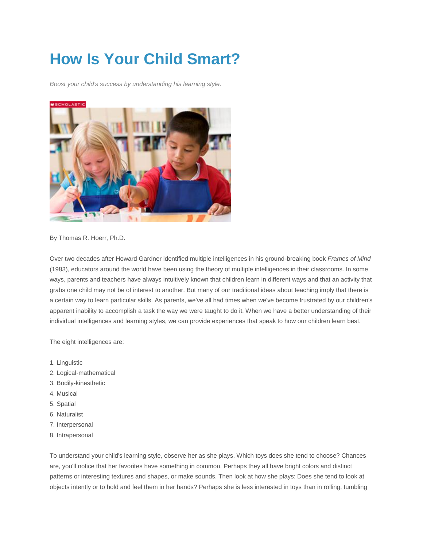# **How Is Your Child Smart?**

*Boost your child's success by understanding his learning style.*



By Thomas R. Hoerr, Ph.D.

Over two decades after Howard Gardner identified multiple intelligences in his ground-breaking book *Frames of Mind* (1983), educators around the world have been using the theory of multiple intelligences in their classrooms. In some ways, parents and teachers have always intuitively known that children learn in different ways and that an activity that grabs one child may not be of interest to another. But many of our traditional ideas about teaching imply that there is a certain way to learn particular skills. As parents, we've all had times when we've become frustrated by our children's apparent inability to accomplish a task the way we were taught to do it. When we have a better understanding of their individual intelligences and learning styles, we can provide experiences that speak to how our children learn best.

The eight intelligences are:

- 1. Linguistic
- 2. Logical-mathematical
- 3. Bodily-kinesthetic
- 4. Musical
- 5. Spatial
- 6. Naturalist
- 7. Interpersonal
- 8. Intrapersonal

To understand your child's learning style, observe her as she plays. Which toys does she tend to choose? Chances are, you'll notice that her favorites have something in common. Perhaps they all have bright colors and distinct patterns or interesting textures and shapes, or make sounds. Then look at how she plays: Does she tend to look at objects intently or to hold and feel them in her hands? Perhaps she is less interested in toys than in rolling, tumbling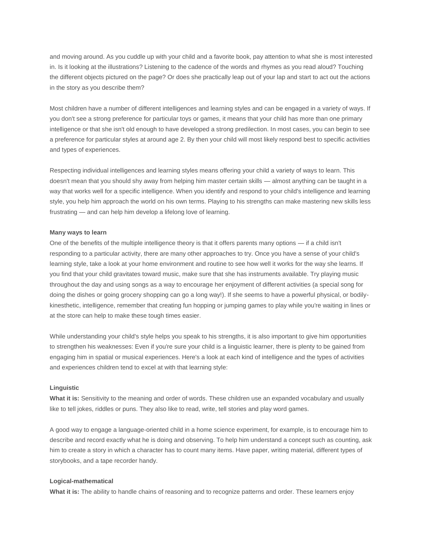and moving around. As you cuddle up with your child and a favorite book, pay attention to what she is most interested in. Is it looking at the illustrations? Listening to the cadence of the words and rhymes as you read aloud? Touching the different objects pictured on the page? Or does she practically leap out of your lap and start to act out the actions in the story as you describe them?

Most children have a number of different intelligences and learning styles and can be engaged in a variety of ways. If you don't see a strong preference for particular toys or games, it means that your child has more than one primary intelligence or that she isn't old enough to have developed a strong predilection. In most cases, you can begin to see a preference for particular styles at around age 2. By then your child will most likely respond best to specific activities and types of experiences.

Respecting individual intelligences and learning styles means offering your child a variety of ways to learn. This doesn't mean that you should shy away from helping him master certain skills — almost anything can be taught in a way that works well for a specific intelligence. When you identify and respond to your child's intelligence and learning style, you help him approach the world on his own terms. Playing to his strengths can make mastering new skills less frustrating — and can help him develop a lifelong love of learning.

#### **Many ways to learn**

One of the benefits of the multiple intelligence theory is that it offers parents many options — if a child isn't responding to a particular activity, there are many other approaches to try. Once you have a sense of your child's learning style, take a look at your home environment and routine to see how well it works for the way she learns. If you find that your child gravitates toward music, make sure that she has instruments available. Try playing music throughout the day and using songs as a way to encourage her enjoyment of different activities (a special song for doing the dishes or going grocery shopping can go a long way!). If she seems to have a powerful physical, or bodilykinesthetic, intelligence, remember that creating fun hopping or jumping games to play while you're waiting in lines or at the store can help to make these tough times easier.

While understanding your child's style helps you speak to his strengths, it is also important to give him opportunities to strengthen his weaknesses: Even if you're sure your child is a linguistic learner, there is plenty to be gained from engaging him in spatial or musical experiences. Here's a look at each kind of intelligence and the types of activities and experiences children tend to excel at with that learning style:

## **Linguistic**

**What it is:** Sensitivity to the meaning and order of words. These children use an expanded vocabulary and usually like to tell jokes, riddles or puns. They also like to read, write, tell stories and play word games.

A good way to engage a language-oriented child in a home science experiment, for example, is to encourage him to describe and record exactly what he is doing and observing. To help him understand a concept such as counting, ask him to create a story in which a character has to count many items. Have paper, writing material, different types of storybooks, and a tape recorder handy.

## **Logical-mathematical**

**What it is:** The ability to handle chains of reasoning and to recognize patterns and order. These learners enjoy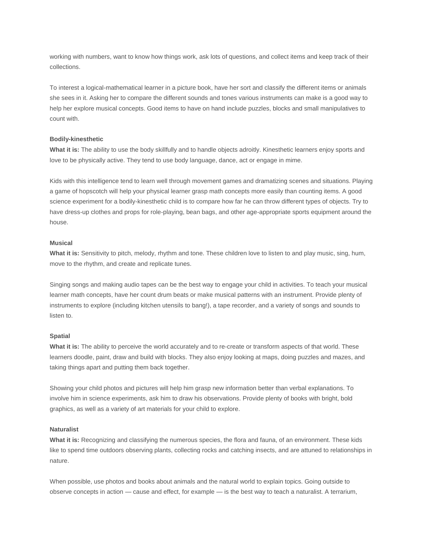working with numbers, want to know how things work, ask lots of questions, and collect items and keep track of their collections.

To interest a logical-mathematical learner in a picture book, have her sort and classify the different items or animals she sees in it. Asking her to compare the different sounds and tones various instruments can make is a good way to help her explore musical concepts. Good items to have on hand include puzzles, blocks and small manipulatives to count with.

#### **Bodily-kinesthetic**

**What it is:** The ability to use the body skillfully and to handle objects adroitly. Kinesthetic learners enjoy sports and love to be physically active. They tend to use body language, dance, act or engage in mime.

Kids with this intelligence tend to learn well through movement games and dramatizing scenes and situations. Playing a game of hopscotch will help your physical learner grasp math concepts more easily than counting items. A good science experiment for a bodily-kinesthetic child is to compare how far he can throw different types of objects. Try to have dress-up clothes and props for role-playing, bean bags, and other age-appropriate sports equipment around the house.

## **Musical**

**What it is:** Sensitivity to pitch, melody, rhythm and tone. These children love to listen to and play music, sing, hum, move to the rhythm, and create and replicate tunes.

Singing songs and making audio tapes can be the best way to engage your child in activities. To teach your musical learner math concepts, have her count drum beats or make musical patterns with an instrument. Provide plenty of instruments to explore (including kitchen utensils to bang!), a tape recorder, and a variety of songs and sounds to listen to.

#### **Spatial**

**What it is:** The ability to perceive the world accurately and to re-create or transform aspects of that world. These learners doodle, paint, draw and build with blocks. They also enjoy looking at maps, doing puzzles and mazes, and taking things apart and putting them back together.

Showing your child photos and pictures will help him grasp new information better than verbal explanations. To involve him in science experiments, ask him to draw his observations. Provide plenty of books with bright, bold graphics, as well as a variety of art materials for your child to explore.

## **Naturalist**

**What it is:** Recognizing and classifying the numerous species, the flora and fauna, of an environment. These kids like to spend time outdoors observing plants, collecting rocks and catching insects, and are attuned to relationships in nature.

When possible, use photos and books about animals and the natural world to explain topics. Going outside to observe concepts in action — cause and effect, for example — is the best way to teach a naturalist. A terrarium,